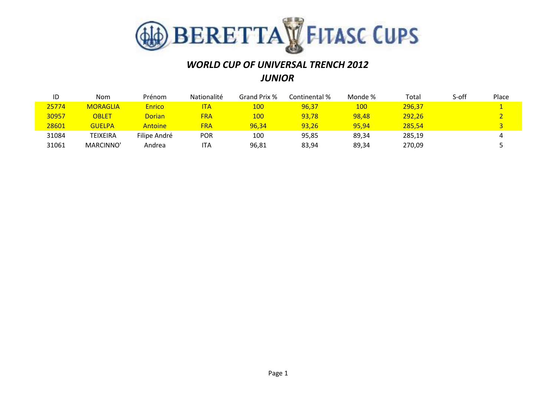

## *WORLD CUP OF UNIVERSAL TRENCH 2012 JUNIOR*

| ID    | <b>Nom</b>      | Prénom        | <b>Nationalité</b> | Grand Prix % | Continental % | Monde %    | Total  | S-off | Place |
|-------|-----------------|---------------|--------------------|--------------|---------------|------------|--------|-------|-------|
| 25774 | <b>MORAGLIA</b> | <b>Enrico</b> | ΙTΑ                | <u> 100</u>  | 96,37         | <b>100</b> | 296,37 |       |       |
| 30957 | OBLET           | <b>Dorian</b> | <b>FRA</b>         | 100          | 93,78         | 98,48      | 292,26 |       |       |
| 28601 | <b>GUELPA</b>   | Antoine       | <b>FRA</b>         | 96,34        | 93,26         | 95.94      | 285,54 |       |       |
| 31084 | TEIXEIRA        | Filipe André  | POR                | 100          | 95,85         | 89,34      | 285,19 |       | 4     |
| 31061 | MARCINNO'       | Andrea        | ITA                | 96,81        | 83,94         | 89,34      | 270,09 |       |       |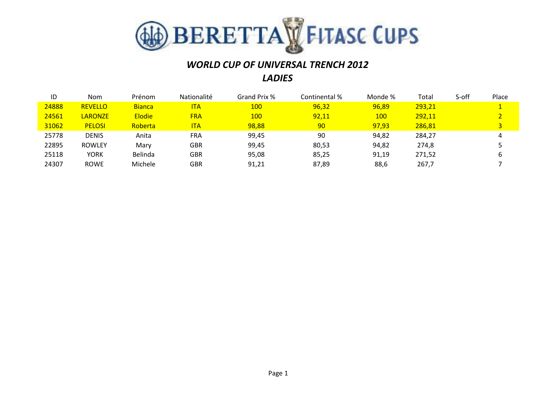

### *WORLD CUP OF UNIVERSAL TRENCH 2012 LADIES*

| ID    | <b>Nom</b>     | Prénom        | Nationalité | Grand Prix % | Continental % | Monde % | Total  | S-off | Place |
|-------|----------------|---------------|-------------|--------------|---------------|---------|--------|-------|-------|
| 24888 | <b>REVELLO</b> | <b>Bianca</b> | <b>ITA</b>  | <b>100</b>   | 96,32         | 96,89   | 293,21 |       |       |
| 24561 | <b>LARONZE</b> | <b>Elodie</b> | <b>FRA</b>  | <b>100</b>   | 92,11         | 100     | 292,11 |       |       |
| 31062 | <b>PELOSI</b>  | Roberta       | <b>ITA</b>  | 98,88        | 90            | 97,93   | 286,81 |       | 3     |
| 25778 | <b>DENIS</b>   | Anita         | <b>FRA</b>  | 99,45        | 90            | 94,82   | 284,27 |       | 4     |
| 22895 | <b>ROWLEY</b>  | Mary          | GBR         | 99,45        | 80,53         | 94,82   | 274,8  |       |       |
| 25118 | <b>YORK</b>    | Belinda       | GBR         | 95,08        | 85,25         | 91,19   | 271,52 |       | b     |
| 24307 | <b>ROWE</b>    | Michele       | GBR         | 91,21        | 87,89         | 88,6    | 267,7  |       |       |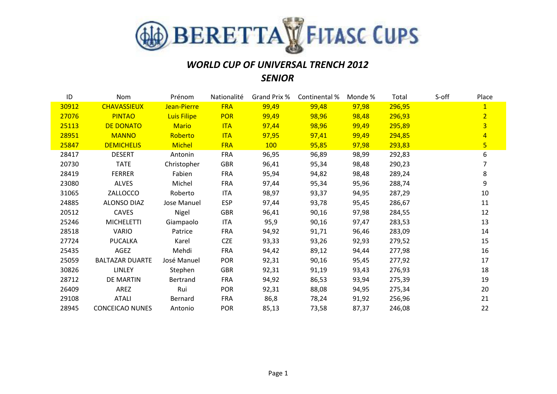

### *WORLD CUP OF UNIVERSAL TRENCH 2012 SENIOR*

| ID    | Nom                    | Prénom             | Nationalité | Grand Prix % | Continental % | Monde % | Total  | S-off | Place          |
|-------|------------------------|--------------------|-------------|--------------|---------------|---------|--------|-------|----------------|
| 30912 | <b>CHAVASSIEUX</b>     | Jean-Pierre        | <b>FRA</b>  | 99,49        | 99,48         | 97,98   | 296,95 |       | $\overline{1}$ |
| 27076 | <b>PINTAO</b>          | <b>Luis Filipe</b> | <b>POR</b>  | 99,49        | 98,96         | 98,48   | 296,93 |       | $\overline{2}$ |
| 25113 | <b>DE DONATO</b>       | <b>Mario</b>       | <b>ITA</b>  | 97,44        | 98,96         | 99,49   | 295,89 |       | $\overline{3}$ |
| 28951 | <b>MANNO</b>           | Roberto            | <b>ITA</b>  | 97,95        | 97,41         | 99,49   | 294,85 |       | $\overline{4}$ |
| 25847 | <b>DEMICHELIS</b>      | <b>Michel</b>      | <b>FRA</b>  | <b>100</b>   | 95,85         | 97,98   | 293,83 |       | $\overline{5}$ |
| 28417 | <b>DESERT</b>          | Antonin            | <b>FRA</b>  | 96,95        | 96,89         | 98,99   | 292,83 |       | 6              |
| 20730 | <b>TATE</b>            | Christopher        | <b>GBR</b>  | 96,41        | 95,34         | 98,48   | 290,23 |       | 7              |
| 28419 | <b>FERRER</b>          | Fabien             | <b>FRA</b>  | 95,94        | 94,82         | 98,48   | 289,24 |       | 8              |
| 23080 | <b>ALVES</b>           | Michel             | <b>FRA</b>  | 97,44        | 95,34         | 95,96   | 288,74 |       | 9              |
| 31065 | ZALLOCCO               | Roberto            | <b>ITA</b>  | 98,97        | 93,37         | 94,95   | 287,29 |       | 10             |
| 24885 | <b>ALONSO DIAZ</b>     | Jose Manuel        | <b>ESP</b>  | 97,44        | 93,78         | 95,45   | 286,67 |       | 11             |
| 20512 | <b>CAVES</b>           | Nigel              | <b>GBR</b>  | 96,41        | 90,16         | 97,98   | 284,55 |       | 12             |
| 25246 | <b>MICHELETTI</b>      | Giampaolo          | ITA         | 95,9         | 90,16         | 97,47   | 283,53 |       | 13             |
| 28518 | <b>VARIO</b>           | Patrice            | FRA         | 94,92        | 91,71         | 96,46   | 283,09 |       | 14             |
| 27724 | <b>PUCALKA</b>         | Karel              | <b>CZE</b>  | 93,33        | 93,26         | 92,93   | 279,52 |       | 15             |
| 25435 | AGEZ                   | Mehdi              | <b>FRA</b>  | 94,42        | 89,12         | 94,44   | 277,98 |       | 16             |
| 25059 | <b>BALTAZAR DUARTE</b> | José Manuel        | <b>POR</b>  | 92,31        | 90,16         | 95,45   | 277,92 |       | 17             |
| 30826 | LINLEY                 | Stephen            | <b>GBR</b>  | 92,31        | 91,19         | 93,43   | 276,93 |       | 18             |
| 28712 | DE MARTIN              | Bertrand           | <b>FRA</b>  | 94,92        | 86,53         | 93,94   | 275,39 |       | 19             |
| 26409 | AREZ                   | Rui                | <b>POR</b>  | 92,31        | 88,08         | 94,95   | 275,34 |       | 20             |
| 29108 | <b>ATALI</b>           | Bernard            | <b>FRA</b>  | 86,8         | 78,24         | 91,92   | 256,96 |       | 21             |
| 28945 | <b>CONCEICAO NUNES</b> | Antonio            | <b>POR</b>  | 85,13        | 73,58         | 87,37   | 246,08 |       | 22             |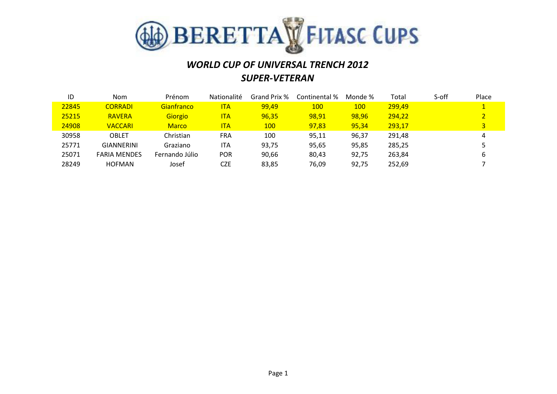

# *WORLD CUP OF UNIVERSAL TRENCH 2012 SUPER-VETERAN*

| ID    | <b>Nom</b>          | Prénom         | <b>Nationalité</b> | Grand Prix % | Continental % | Monde %    | Total  | S-off | Place          |
|-------|---------------------|----------------|--------------------|--------------|---------------|------------|--------|-------|----------------|
| 22845 | <b>CORRADI</b>      | Gianfranco     | <b>ITA</b>         | 99,49        | <b>100</b>    | <b>100</b> | 299,49 |       | $\mathbf{1}$   |
| 25215 | <b>RAVERA</b>       | <b>Giorgio</b> | <b>ITA</b>         | 96,35        | 98,91         | 98,96      | 294,22 |       |                |
| 24908 | <b>VACCARI</b>      | <b>Marco</b>   | <b>ITA</b>         | <b>100</b>   | 97,83         | 95,34      | 293,17 |       | $\overline{3}$ |
| 30958 | <b>OBLET</b>        | Christian      | <b>FRA</b>         | 100          | 95,11         | 96,37      | 291,48 |       | 4              |
| 25771 | <b>GIANNERINI</b>   | Graziano       | ITA                | 93,75        | 95,65         | 95,85      | 285,25 |       |                |
| 25071 | <b>FARIA MENDES</b> | Fernando Júlio | <b>POR</b>         | 90,66        | 80,43         | 92.75      | 263,84 |       | 6              |
| 28249 | <b>HOFMAN</b>       | Josef          | <b>CZE</b>         | 83,85        | 76,09         | 92,75      | 252,69 |       |                |